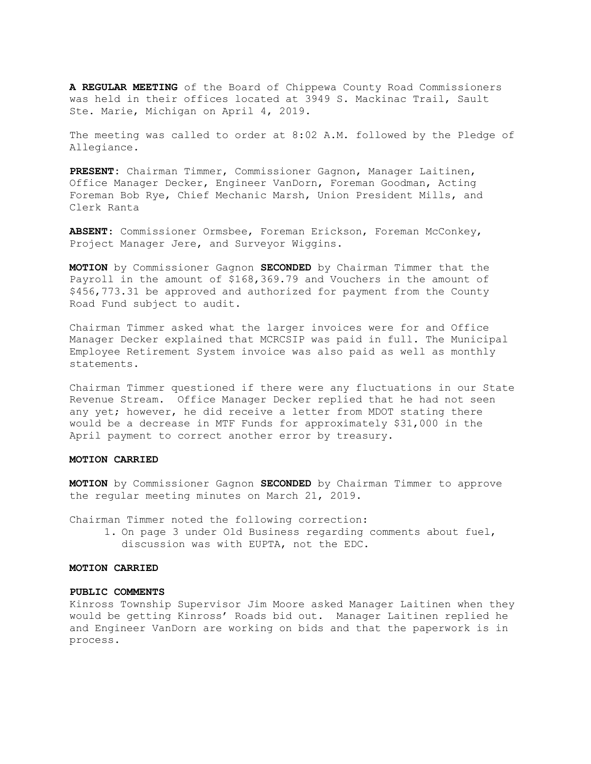A REGULAR MEETING of the Board of Chippewa County Road Commissioners was held in their offices located at 3949 S. Mackinac Trail, Sault Ste. Marie, Michigan on April 4, 2019.

The meeting was called to order at 8:02 A.M. followed by the Pledge of Allegiance.

PRESENT: Chairman Timmer, Commissioner Gagnon, Manager Laitinen, Office Manager Decker, Engineer VanDorn, Foreman Goodman, Acting Foreman Bob Rye, Chief Mechanic Marsh, Union President Mills, and Clerk Ranta

ABSENT: Commissioner Ormsbee, Foreman Erickson, Foreman McConkey, Project Manager Jere, and Surveyor Wiggins.

MOTION by Commissioner Gagnon SECONDED by Chairman Timmer that the Payroll in the amount of \$168,369.79 and Vouchers in the amount of \$456,773.31 be approved and authorized for payment from the County Road Fund subject to audit.

Chairman Timmer asked what the larger invoices were for and Office Manager Decker explained that MCRCSIP was paid in full. The Municipal Employee Retirement System invoice was also paid as well as monthly statements.

Chairman Timmer questioned if there were any fluctuations in our State Revenue Stream. Office Manager Decker replied that he had not seen any yet; however, he did receive a letter from MDOT stating there would be a decrease in MTF Funds for approximately \$31,000 in the April payment to correct another error by treasury.

### MOTION CARRIED

MOTION by Commissioner Gagnon SECONDED by Chairman Timmer to approve the regular meeting minutes on March 21, 2019.

Chairman Timmer noted the following correction:

1. On page 3 under Old Business regarding comments about fuel, discussion was with EUPTA, not the EDC.

# MOTION CARRIED

#### PUBLIC COMMENTS

Kinross Township Supervisor Jim Moore asked Manager Laitinen when they would be getting Kinross' Roads bid out. Manager Laitinen replied he and Engineer VanDorn are working on bids and that the paperwork is in process.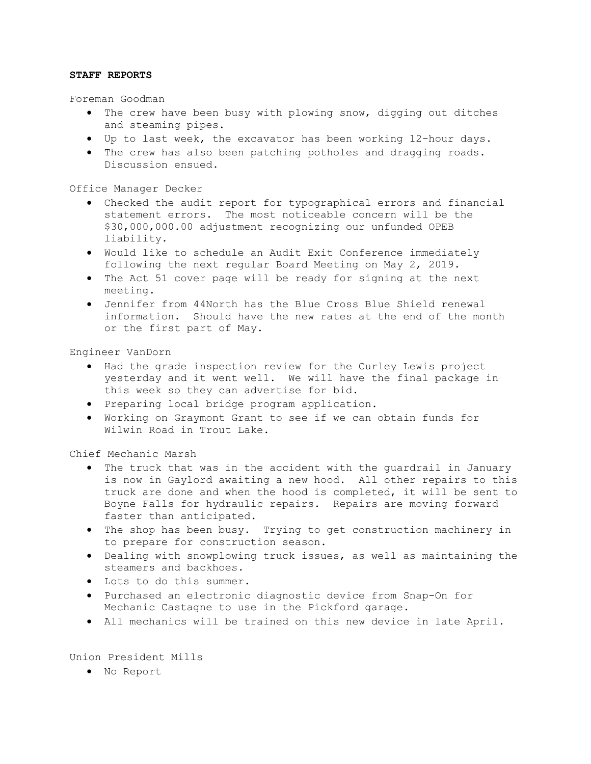# STAFF REPORTS

Foreman Goodman

- The crew have been busy with plowing snow, digging out ditches and steaming pipes.
- Up to last week, the excavator has been working 12-hour days.
- The crew has also been patching potholes and dragging roads. Discussion ensued.

Office Manager Decker

- Checked the audit report for typographical errors and financial statement errors. The most noticeable concern will be the \$30,000,000.00 adjustment recognizing our unfunded OPEB liability.
- Would like to schedule an Audit Exit Conference immediately following the next regular Board Meeting on May 2, 2019.
- The Act 51 cover page will be ready for signing at the next meeting.
- Jennifer from 44North has the Blue Cross Blue Shield renewal information. Should have the new rates at the end of the month or the first part of May.

Engineer VanDorn

- Had the grade inspection review for the Curley Lewis project yesterday and it went well. We will have the final package in this week so they can advertise for bid.
- Preparing local bridge program application.
- Working on Graymont Grant to see if we can obtain funds for Wilwin Road in Trout Lake.

Chief Mechanic Marsh

- The truck that was in the accident with the guardrail in January is now in Gaylord awaiting a new hood. All other repairs to this truck are done and when the hood is completed, it will be sent to Boyne Falls for hydraulic repairs. Repairs are moving forward faster than anticipated.
- The shop has been busy. Trying to get construction machinery in to prepare for construction season.
- Dealing with snowplowing truck issues, as well as maintaining the steamers and backhoes.
- Lots to do this summer.
- Purchased an electronic diagnostic device from Snap-On for Mechanic Castagne to use in the Pickford garage.
- All mechanics will be trained on this new device in late April.

Union President Mills

No Report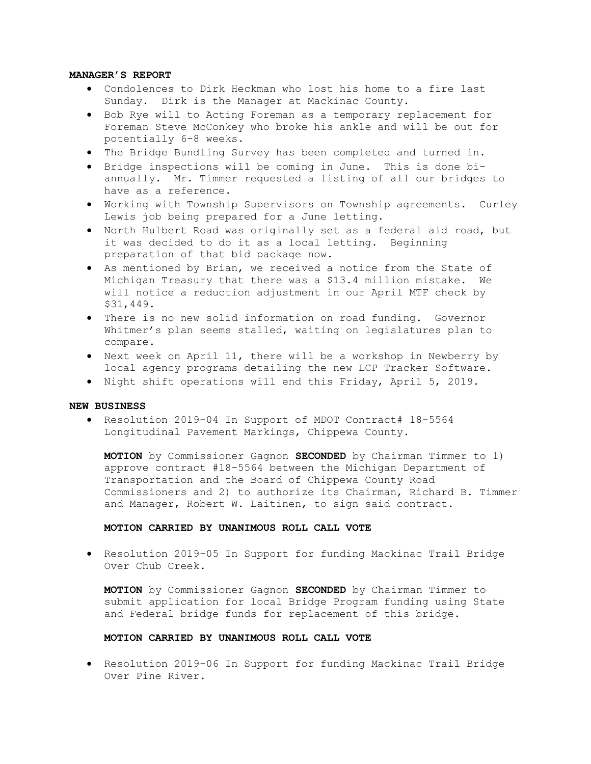## MANAGER'S REPORT

- Condolences to Dirk Heckman who lost his home to a fire last Sunday. Dirk is the Manager at Mackinac County.
- Bob Rye will to Acting Foreman as a temporary replacement for Foreman Steve McConkey who broke his ankle and will be out for potentially 6-8 weeks.
- The Bridge Bundling Survey has been completed and turned in.
- Bridge inspections will be coming in June. This is done biannually. Mr. Timmer requested a listing of all our bridges to have as a reference.
- Working with Township Supervisors on Township agreements. Curley Lewis job being prepared for a June letting.
- North Hulbert Road was originally set as a federal aid road, but it was decided to do it as a local letting. Beginning preparation of that bid package now.
- As mentioned by Brian, we received a notice from the State of Michigan Treasury that there was a \$13.4 million mistake. We will notice a reduction adjustment in our April MTF check by \$31,449.
- There is no new solid information on road funding. Governor Whitmer's plan seems stalled, waiting on legislatures plan to compare.
- Next week on April 11, there will be a workshop in Newberry by local agency programs detailing the new LCP Tracker Software.
- . Night shift operations will end this Friday, April 5, 2019.

### NEW BUSINESS

 Resolution 2019-04 In Support of MDOT Contract# 18-5564 Longitudinal Pavement Markings, Chippewa County.

MOTION by Commissioner Gagnon SECONDED by Chairman Timmer to 1) approve contract #18-5564 between the Michigan Department of Transportation and the Board of Chippewa County Road Commissioners and 2) to authorize its Chairman, Richard B. Timmer and Manager, Robert W. Laitinen, to sign said contract.

### MOTION CARRIED BY UNANIMOUS ROLL CALL VOTE

 Resolution 2019-05 In Support for funding Mackinac Trail Bridge Over Chub Creek.

MOTION by Commissioner Gagnon SECONDED by Chairman Timmer to submit application for local Bridge Program funding using State and Federal bridge funds for replacement of this bridge.

# MOTION CARRIED BY UNANIMOUS ROLL CALL VOTE

 Resolution 2019-06 In Support for funding Mackinac Trail Bridge Over Pine River.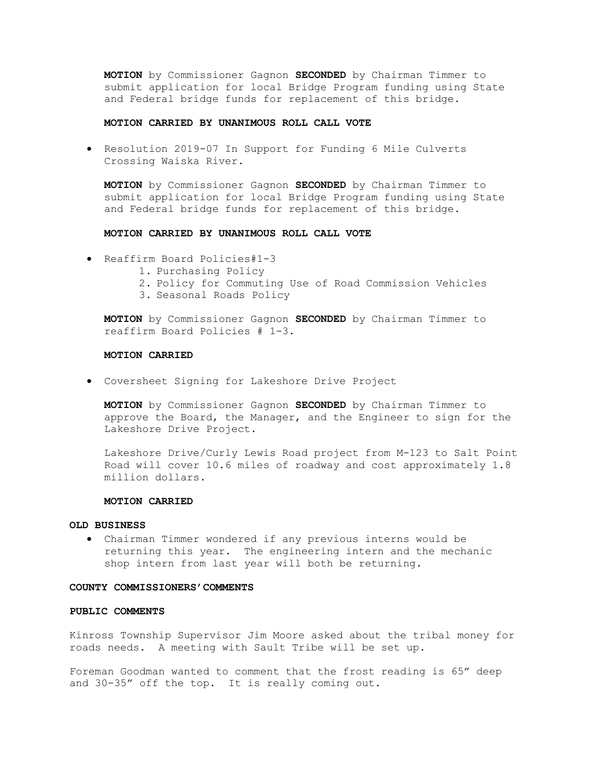MOTION by Commissioner Gagnon SECONDED by Chairman Timmer to submit application for local Bridge Program funding using State and Federal bridge funds for replacement of this bridge.

#### MOTION CARRIED BY UNANIMOUS ROLL CALL VOTE

 Resolution 2019-07 In Support for Funding 6 Mile Culverts Crossing Waiska River.

MOTION by Commissioner Gagnon SECONDED by Chairman Timmer to submit application for local Bridge Program funding using State and Federal bridge funds for replacement of this bridge.

# MOTION CARRIED BY UNANIMOUS ROLL CALL VOTE

- Reaffirm Board Policies#1-3
	- 1. Purchasing Policy
	- 2. Policy for Commuting Use of Road Commission Vehicles
	- 3. Seasonal Roads Policy

MOTION by Commissioner Gagnon SECONDED by Chairman Timmer to reaffirm Board Policies # 1-3.

#### MOTION CARRIED

Coversheet Signing for Lakeshore Drive Project

MOTION by Commissioner Gagnon SECONDED by Chairman Timmer to approve the Board, the Manager, and the Engineer to sign for the Lakeshore Drive Project.

Lakeshore Drive/Curly Lewis Road project from M-123 to Salt Point Road will cover 10.6 miles of roadway and cost approximately 1.8 million dollars.

## MOTION CARRIED

### OLD BUSINESS

 Chairman Timmer wondered if any previous interns would be returning this year. The engineering intern and the mechanic shop intern from last year will both be returning.

#### COUNTY COMMISSIONERS'COMMENTS

### PUBLIC COMMENTS

Kinross Township Supervisor Jim Moore asked about the tribal money for roads needs. A meeting with Sault Tribe will be set up.

Foreman Goodman wanted to comment that the frost reading is 65" deep and 30-35" off the top. It is really coming out.